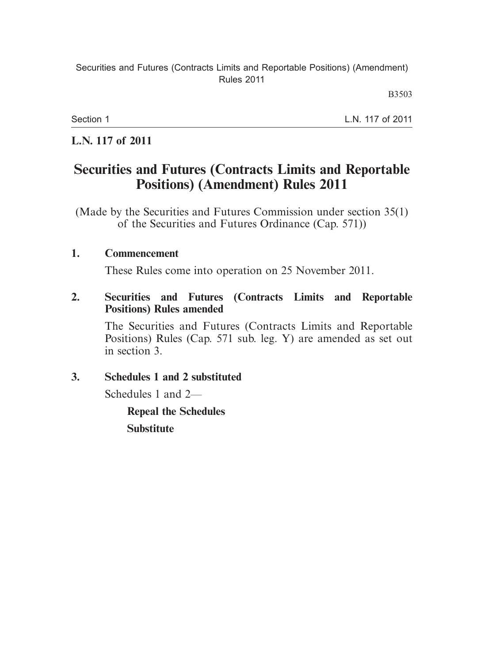B3503

Section 1

L.N. 117 of 2011

## **L.N. 117 of 2011**

# **Securities and Futures (Contracts Limits and Reportable Positions) (Amendment) Rules 2011**

(Made by the Securities and Futures Commission under section 35(1) of the Securities and Futures Ordinance (Cap. 571))

### **1. Commencement**

These Rules come into operation on 25 November 2011.

## **2. Securities and Futures (Contracts Limits and Reportable Positions) Rules amended**

The Securities and Futures (Contracts Limits and Reportable Positions) Rules (Cap. 571 sub. leg. Y) are amended as set out in section 3.

## **3. Schedules 1 and 2 substituted**

Schedules 1 and 2—

**Repeal the Schedules Substitute**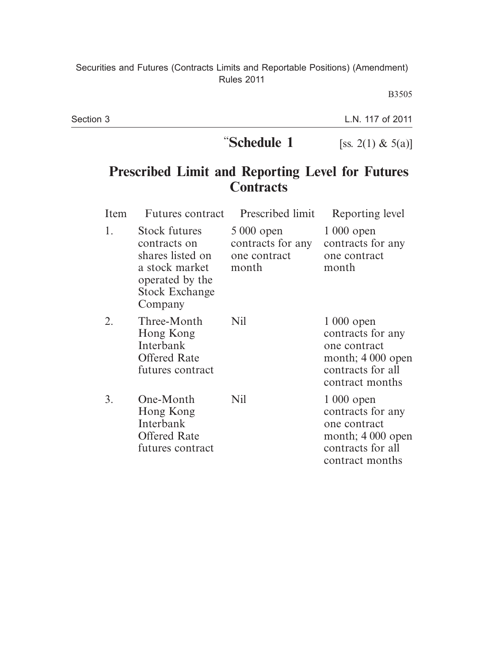B3505

| Section 3 |             | L.N. 117 of 2011     |  |
|-----------|-------------|----------------------|--|
|           | "Schedule 1 | [ss. 2(1) & $5(a)$ ] |  |
|           |             |                      |  |

# **Prescribed Limit and Reporting Level for Futures Contracts**

| Item | <b>Futures</b> contract                                                                                                           | Prescribed limit                                         | Reporting level                                                                                                |
|------|-----------------------------------------------------------------------------------------------------------------------------------|----------------------------------------------------------|----------------------------------------------------------------------------------------------------------------|
| 1.   | <b>Stock futures</b><br>contracts on<br>shares listed on<br>a stock market<br>operated by the<br><b>Stock Exchange</b><br>Company | 5 000 open<br>contracts for any<br>one contract<br>month | $1000$ open<br>contracts for any<br>one contract<br>month                                                      |
| 2.   | Three-Month<br>Hong Kong<br>Interbank<br><b>Offered Rate</b><br>futures contract                                                  | Nil                                                      | $1000$ open<br>contracts for any<br>one contract<br>month; $4000$ open<br>contracts for all<br>contract months |
| 3.   | One-Month<br>Hong Kong<br>Interbank<br><b>Offered Rate</b><br>futures contract                                                    | Nil                                                      | $1000$ open<br>contracts for any<br>one contract<br>month; 4 000 open<br>contracts for all<br>contract months  |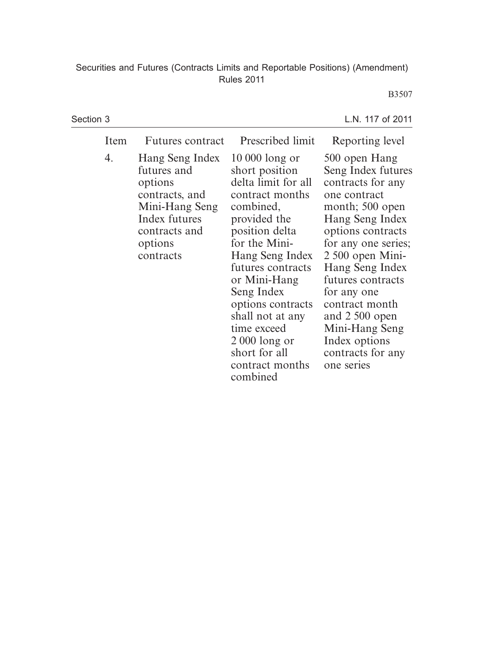#### B3507

| Section 3 |                                                                                                                                         |                                                                                                                                                                                                                                                                                                                                             | L.N. 117 of 2011                                                                                                                                                                                                                                                                                                                                 |
|-----------|-----------------------------------------------------------------------------------------------------------------------------------------|---------------------------------------------------------------------------------------------------------------------------------------------------------------------------------------------------------------------------------------------------------------------------------------------------------------------------------------------|--------------------------------------------------------------------------------------------------------------------------------------------------------------------------------------------------------------------------------------------------------------------------------------------------------------------------------------------------|
| Item      | <b>Futures contract</b>                                                                                                                 | Prescribed limit                                                                                                                                                                                                                                                                                                                            | Reporting level                                                                                                                                                                                                                                                                                                                                  |
| 4.        | Hang Seng Index<br>futures and<br>options<br>contracts, and<br>Mini-Hang Seng<br>Index futures<br>contracts and<br>options<br>contracts | $10000$ long or<br>short position<br>delta limit for all<br>contract months<br>combined,<br>provided the<br>position delta<br>for the Mini-<br>Hang Seng Index<br>futures contracts<br>or Mini-Hang<br>Seng Index<br>options contracts<br>shall not at any<br>time exceed<br>$2000$ long or<br>short for all<br>contract months<br>combined | 500 open Hang<br>Seng Index futures<br>contracts for any<br>one contract<br>month; 500 open<br>Hang Seng Index<br>options contracts<br>for any one series;<br>$2500$ open Mini-<br>Hang Seng Index<br>futures contracts<br>for any one<br>contract month<br>and 2 500 open<br>Mini-Hang Seng<br>Index options<br>contracts for any<br>one series |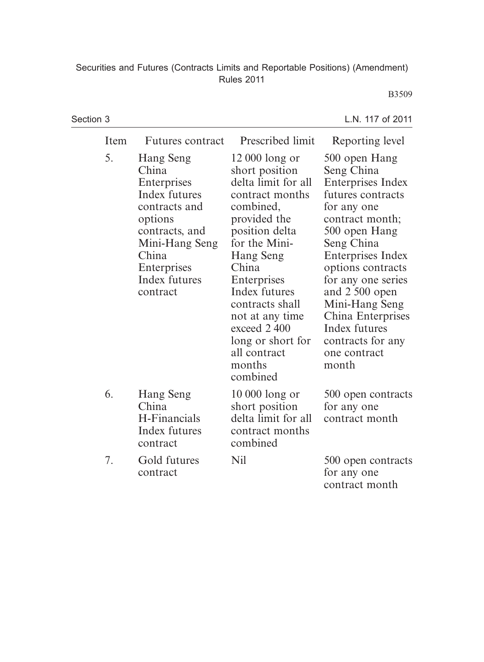## B3509

| Section 3 |      |                                                                                                                                                                         |                                                                                                                                                                                                                                                                                                                         | L.N. 117 of 2011                                                                                                                                                                                                                                                                                                                      |
|-----------|------|-------------------------------------------------------------------------------------------------------------------------------------------------------------------------|-------------------------------------------------------------------------------------------------------------------------------------------------------------------------------------------------------------------------------------------------------------------------------------------------------------------------|---------------------------------------------------------------------------------------------------------------------------------------------------------------------------------------------------------------------------------------------------------------------------------------------------------------------------------------|
|           | Item | <b>Futures</b> contract                                                                                                                                                 | Prescribed limit                                                                                                                                                                                                                                                                                                        | Reporting level                                                                                                                                                                                                                                                                                                                       |
|           | 5.   | Hang Seng<br>China<br>Enterprises<br>Index futures<br>contracts and<br>options<br>contracts, and<br>Mini-Hang Seng<br>China<br>Enterprises<br>Index futures<br>contract | 12 000 long or<br>short position<br>delta limit for all<br>contract months<br>combined,<br>provided the<br>position delta<br>for the Mini-<br><b>Hang Seng</b><br>China<br>Enterprises<br>Index futures<br>contracts shall<br>not at any time<br>exceed 2400<br>long or short for<br>all contract<br>months<br>combined | 500 open Hang<br>Seng China<br><b>Enterprises Index</b><br>futures contracts<br>for any one<br>contract month;<br>500 open Hang<br>Seng China<br>Enterprises Index<br>options contracts<br>for any one series<br>and 2 500 open<br>Mini-Hang Seng<br>China Enterprises<br>Index futures<br>contracts for any<br>one contract<br>month |
|           | 6.   | Hang Seng<br>China<br>H-Financials<br>Index futures<br>contract                                                                                                         | $10000$ long or<br>short position<br>delta limit for all<br>contract months<br>combined                                                                                                                                                                                                                                 | 500 open contracts<br>for any one<br>contract month                                                                                                                                                                                                                                                                                   |
|           | 7.   | Gold futures<br>contract                                                                                                                                                | Nil                                                                                                                                                                                                                                                                                                                     | 500 open contracts<br>for any one<br>contract month                                                                                                                                                                                                                                                                                   |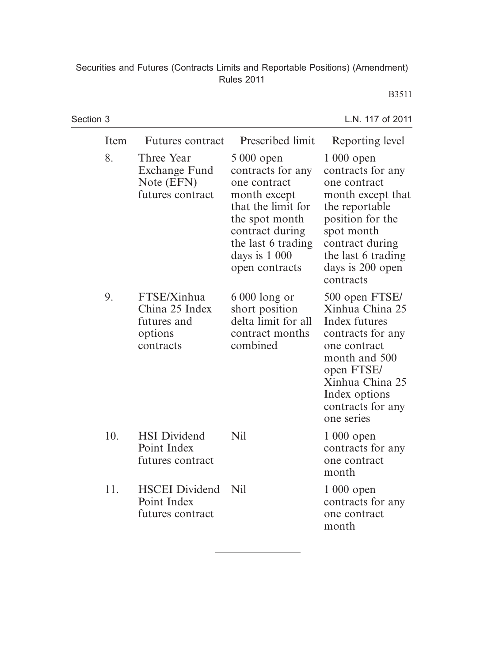#### B3511

| Section 3 |      |                                                                      |                                                                                                                                                                                      | L.N. 117 of 2011                                                                                                                                                                                    |
|-----------|------|----------------------------------------------------------------------|--------------------------------------------------------------------------------------------------------------------------------------------------------------------------------------|-----------------------------------------------------------------------------------------------------------------------------------------------------------------------------------------------------|
|           | Item | <b>Futures</b> contract                                              | Prescribed limit                                                                                                                                                                     | Reporting level                                                                                                                                                                                     |
|           | 8.   | Three Year<br>Exchange Fund<br>Note (EFN)<br>futures contract        | 5 000 open<br>contracts for any<br>one contract<br>month except<br>that the limit for<br>the spot month<br>contract during<br>the last 6 trading<br>days is $1000$<br>open contracts | $1000$ open<br>contracts for any<br>one contract<br>month except that<br>the reportable<br>position for the<br>spot month<br>contract during<br>the last 6 trading<br>days is 200 open<br>contracts |
|           | 9.   | FTSE/Xinhua<br>China 25 Index<br>futures and<br>options<br>contracts | $6000$ long or<br>short position<br>delta limit for all<br>contract months<br>combined                                                                                               | 500 open FTSE/<br>Xinhua China 25<br>Index futures<br>contracts for any<br>one contract<br>month and 500<br>open FTSE/<br>Xinhua China 25<br>Index options<br>contracts for any<br>one series       |
|           | 10.  | <b>HSI</b> Dividend<br>Point Index<br>futures contract               | Nil                                                                                                                                                                                  | $1000$ open<br>contracts for any<br>one contract<br>month                                                                                                                                           |
|           | 11.  | <b>HSCEI</b> Dividend<br>Point Index<br>futures contract             | N <sub>il</sub>                                                                                                                                                                      | $1000$ open<br>contracts for any<br>one contract<br>month                                                                                                                                           |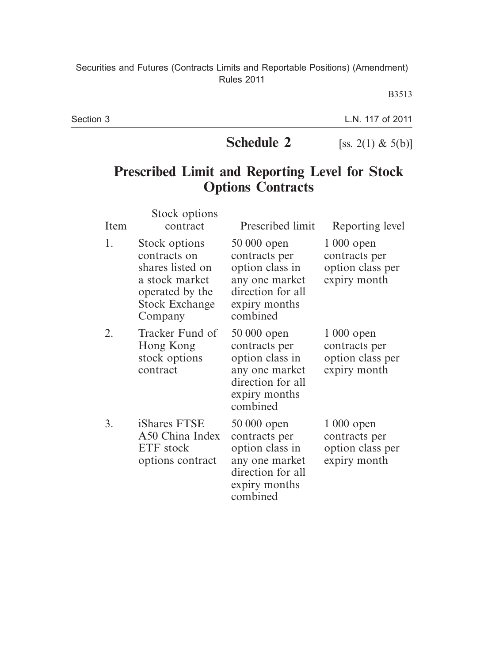B3513

Section 3

L.N. 117 of 2011

**Schedule 2** [ss. 2(1) & 5(b)]

# **Prescribed Limit and Reporting Level for Stock Options Contracts**

| Item | Stock options<br>contract                                                                                                  | Prescribed limit                                                                                                    | Reporting level                                                  |
|------|----------------------------------------------------------------------------------------------------------------------------|---------------------------------------------------------------------------------------------------------------------|------------------------------------------------------------------|
| 1.   | Stock options<br>contracts on<br>shares listed on<br>a stock market<br>operated by the<br><b>Stock Exchange</b><br>Company | 50 000 open<br>contracts per<br>option class in<br>any one market<br>direction for all<br>expiry months<br>combined | $1000$ open<br>contracts per<br>option class per<br>expiry month |
| 2.   | Tracker Fund of<br>Hong Kong<br>stock options<br>contract                                                                  | 50 000 open<br>contracts per<br>option class in<br>any one market<br>direction for all<br>expiry months<br>combined | $1000$ open<br>contracts per<br>option class per<br>expiry month |
| 3.   | iShares FTSE<br>A50 China Index<br>ETF stock<br>options contract                                                           | 50 000 open<br>contracts per<br>option class in<br>any one market<br>direction for all<br>expiry months<br>combined | $1000$ open<br>contracts per<br>option class per<br>expiry month |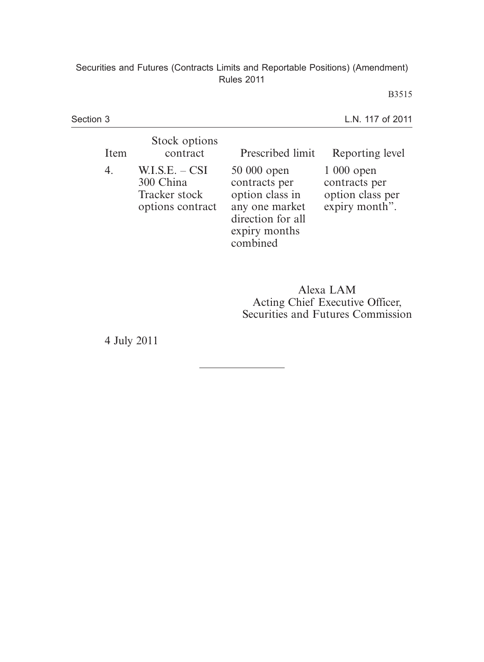B3515

| Section 3 |                                                                    |                                                                                                                     | L.N. 117 of 2011                                                   |
|-----------|--------------------------------------------------------------------|---------------------------------------------------------------------------------------------------------------------|--------------------------------------------------------------------|
| Item      | Stock options<br>contract                                          | Prescribed limit                                                                                                    | Reporting level                                                    |
| 4.        | $W.I.S.E. - CSI$<br>300 China<br>Tracker stock<br>options contract | 50 000 open<br>contracts per<br>option class in<br>any one market<br>direction for all<br>expiry months<br>combined | $1000$ open<br>contracts per<br>option class per<br>expiry month". |

Alexa LAM Acting Chief Executive Officer, Securities and Futures Commission

4 July 2011